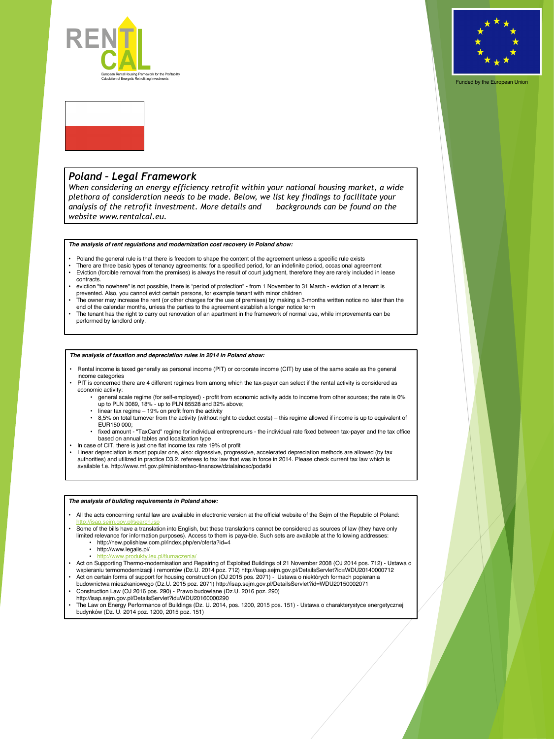



Funded by the European Union

## *The analysis of rent regulations and modernization cost recovery in Poland show:*

- Poland the general rule is that there is freedom to shape the content of the agreement unless a specific rule exists
- There are three basic types of tenancy agreements: for a specified period, for an indefinite period, occasional agreement
- Eviction (forcible removal from the premises) is always the result of court judgment, therefore they are rarely included in lease contracts.
- eviction "to nowhere" is not possible, there is "period of protection" from 1 November to 31 March eviction of a tenant is prevented. Also, you cannot evict certain persons, for example tenant with minor children
- The owner may increase the rent (or other charges for the use of premises) by making a 3-months written notice no later than the end of the calendar months, unless the parties to the agreement establish a longer notice term
- The tenant has the right to carry out renovation of an apartment in the framework of normal use, while improvements can be performed by landlord only.

## *Poland – Legal Framework*

*When considering an energy efficiency retrofit within your national housing market, a wide plethora of consideration needs to be made. Below, we list key findings to facilitate your analysis of the retrofit investment. More details and backgrounds can be found on the website www.rentalcal.eu.*

## *The analysis of taxation and depreciation rules in 2014 in Poland show:*

- Rental income is taxed generally as personal income (PIT) or corporate income (CIT) by use of the same scale as the general income categories
- PIT is concerned there are 4 different regimes from among which the tax-payer can select if the rental activity is considered as economic activity:
	- general scale regime (for self-employed) profit from economic activity adds to income from other sources; the rate is 0% up to PLN 3089, 18% - up to PLN 85528 and 32% above;
	- linear tax regime 19% on profit from the activity
	- 8,5% on total turnover from the activity (without right to deduct costs) this regime allowed if income is up to equivalent of EUR150 000;
	- fixed amount "TaxCard" regime for individual entrepreneurs the individual rate fixed between tax-payer and the tax office based on annual tables and localization type
- In case of CIT, there is just one flat income tax rate 19% of profit
- Linear depreciation is most popular one, also: digressive, progressive, accelerated depreciation methods are allowed (by tax authorities) and utilized in practice D3.2. referees to tax law that was in force in 2014. Please check current tax law which is available f.e. http://www.mf.gov.pl/ministerstwo-finansow/dzialalnosc/podatki



*The analysis of building requirements in Poland show:*

• All the acts concerning rental law are available in electronic version at the official website of the Sejm of the Republic of Poland:

- <http://isap.sejm.gov.pl/search.jsp>
- Some of the bills have a translation into English, but these translations cannot be considered as sources of law (they have only limited relevance for information purposes). Access to them is paya-ble. Such sets are available at the following addresses:
	- http://new.polishlaw.com.pl/index.php/en/oferta?id=4
	- http://www.legalis.pl/
	- <http://www.produkty.lex.pl/tlumaczenia/>
- Act on Supporting Thermo-modernisation and Repairing of Exploited Buildings of 21 November 2008 (OJ 2014 pos. 712) Ustawa o wspieraniu termomodernizacji i remontów (Dz.U. 2014 poz. 712) http://isap.sejm.gov.pl/DetailsServlet?id=WDU20140000712
- Act on certain forms of support for housing construction (OJ 2015 pos. 2071) Ustawa o niektórych formach popierania budownictwa mieszkaniowego (Dz.U. 2015 poz. 2071) http://isap.sejm.gov.pl/DetailsServlet?id=WDU20150002071
- Construction Law (OJ 2016 pos. 290) Prawo budowlane (Dz.U. 2016 poz. 290) http://isap.sejm.gov.pl/DetailsServlet?id=WDU20160000290
- The Law on Energy Performance of Buildings (Dz. U. 2014, pos. 1200, 2015 pos. 151) Ustawa o charakterystyce energetycznej budynków (Dz. U. 2014 poz. 1200, 2015 poz. 151)